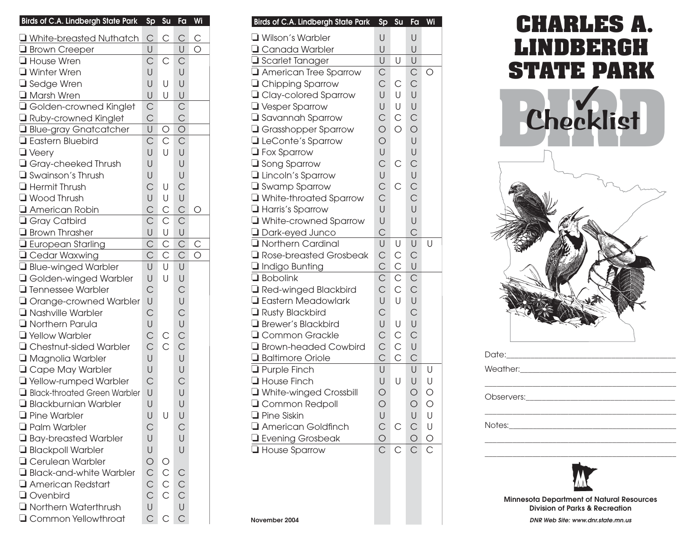| <b>Birds of C.A. Lindbergh State Park</b> | Sp             | Su             | Fa             | Wi           |
|-------------------------------------------|----------------|----------------|----------------|--------------|
| White-breasted Nuthatch                   | $\mathsf{C}$   | С              | $\mathsf{C}$   | С            |
| <b>Brown Creeper</b>                      | U              |                | U              | $\circ$      |
| House Wren                                | $\overline{C}$ | $\mathsf{C}$   | $\mathsf{C}$   |              |
| <b>U</b> Winter Wren                      | U              |                | U              |              |
| $\Box$ Sedge Wren                         | U              | U              | U              |              |
| Marsh Wren                                | U              | U              | U              |              |
| Golden-crowned Kinglet                    | $\mathsf{C}$   |                | $\mathsf{C}$   |              |
| Ruby-crowned Kinglet                      | $\mathsf{C}$   |                | $\overline{C}$ |              |
| Blue-gray Gnatcatcher                     | U              | $\bigcirc$     | $\circ$        |              |
| <b>Eastern Bluebird</b>                   | $\mathsf{C}$   | $\mathsf{C}$   | $\mathsf{C}$   |              |
| $\Box$ Veery                              | U              | U              | U              |              |
| Gray-cheeked Thrush                       | U              |                | U              |              |
| Swainson's Thrush                         | U              |                | U              |              |
| $\Box$ Hermit Thrush                      | $\mathsf{C}$   | U              | $\overline{C}$ |              |
| Wood Thrush                               | U              | U              | U              |              |
| American Robin                            | $\mathsf{C}$   | $\subseteq$    | $\overline{C}$ | O            |
| Gray Catbird                              | $\mathsf{C}$   | $\mathsf{C}$   | $\mathsf{C}$   |              |
| <b>Brown Thrasher</b>                     | U              | U              | U              |              |
| <b>European Starling</b>                  | $\mathsf{C}$   | $\mathsf{C}$   | $\mathsf{C}$   | $\mathsf{C}$ |
| <b>Q</b> Cedar Waxwing                    | $\mathsf{C}$   | $\mathsf{C}$   | $\mathsf{C}$   | $\circ$      |
| Blue-winged Warbler                       | U              | U              | U              |              |
| Golden-winged Warbler                     | U              | U              | U              |              |
| <b>Tennessee Warbler</b>                  | $\overline{C}$ |                | $\overline{C}$ |              |
| Orange-crowned Warbler                    | U              |                | U              |              |
| Nashville Warbler                         | $\mathsf{C}$   |                | $\mathsf{C}$   |              |
| <b>Northern Parula</b>                    | U              |                | U              |              |
| Yellow Warbler                            | $\mathsf{C}$   | $\mathsf{C}$   | $\frac{C}{C}$  |              |
| □ Chestnut-sided Warbler                  | $\mathsf{C}$   | Ċ              |                |              |
| <b>J</b> Magnolia Warbler                 | U              |                | U              |              |
| Q Cape May Warbler                        | U              |                | U              |              |
| Yellow-rumped Warbler                     | $\overline{C}$ |                | $\mathsf{C}$   |              |
| Black-throated Green Warbler              | U              |                | U              |              |
| Blackburnian Warbler                      | U              |                | U              |              |
| <b>Pine Warbler</b>                       | U              | U              | U              |              |
| <b>Q</b> Palm Warbler                     | C              |                | С              |              |
| Bay-breasted Warbler                      | U              |                | U              |              |
| Blackpoll Warbler                         | U              |                | U              |              |
| <b>Q</b> Cerulean Warbler                 | $\bigcirc$     |                |                |              |
| Black-and-white Warbler                   | $\mathsf{C}$   | O<br>C<br>C    | $\subset$      |              |
| American Redstart                         | $\mathsf{C}$   |                | $\frac{C}{C}$  |              |
| $\Box$ Ovenbird                           | $\mathsf{C}$   | $\overline{C}$ |                |              |
| <b>Northern Waterthrush</b>               | U              |                | U              |              |
| Q Common Yellowthroat                     | $\overline{C}$ | $\mathsf{C}$   | $\overline{C}$ |              |

| Birds of C.A. Lindbergh State Park Sp Su  |                |              | Fa           | Wi             |
|-------------------------------------------|----------------|--------------|--------------|----------------|
| Wilson's Warbler                          | U              |              | U            |                |
| Canada Warbler                            | U              |              | U            |                |
| Scarlet Tanager                           | U              | U            | U            |                |
| $\Box$ American Tree Sparrow              | C              |              | $\mathsf{C}$ | $\circ$        |
| $\Box$ Chipping Sparrow                   | $\mathsf{C}$   | С            | $\mathsf{C}$ |                |
| Clay-colored Sparrow                      | U              | U            | $\cup$       |                |
| $\Box$ Vesper Sparrow                     | $\bigcup$      | U            | $\cup$       |                |
| $\Box$ Savannah Sparrow                   | $\mathsf{C}$   | $\mathsf C$  | $\mathsf{C}$ |                |
| Grasshopper Sparrow                       | $\bigcirc$     | $\circ$      | $\bigcirc$   |                |
| $\Box$ LeConte's Sparrow                  | $\bigcirc$     |              | U            |                |
| $\Box$ Fox Sparrow                        | U              |              | U            |                |
| $\Box$ Song Sparrow                       | $\mathsf{C}$   | $\mathsf{C}$ | $\mathsf{C}$ |                |
| $\Box$ Lincoln's Sparrow                  | $\cup$         |              | U            |                |
| $\Box$ Swamp Sparrow                      | $\mathsf{C}$   | $\mathsf{C}$ | $\mathsf{C}$ |                |
| $\Box$ White-throated Sparrow             | $\mathsf{C}$   |              | $\mathsf{C}$ |                |
| $\Box$ Harris's Sparrow                   | $\bigcup$      |              | U            |                |
| White-crowned Sparrow                     | $\bigcup$      |              | U            |                |
| Dark-eyed Junco                           | $\mathsf{C}$   |              | $\mathsf{C}$ |                |
| $\overline{\mathbf{J}}$ Northern Cardinal | $\bigcup$      | U            | $\cup$       | U              |
| $\Box$ Rose-breasted Grosbeak             | $\mathsf{C}$   | $\mathsf C$  | $\mathsf{C}$ |                |
| Indigo Bunting                            | $\mathsf{C}$   | $\subseteq$  | $\cup$       |                |
| $\Box$ Bobolink                           | $\mathsf{C}$   | $\mathsf{C}$ | $\mathsf{C}$ |                |
| $\Box$ Red-winged Blackbird               | $\mathsf{C}$   | $\mathsf{C}$ | $\mathsf{C}$ |                |
| $\Box$ Eastern Meadowlark                 | $\bigcup$      | U            | $\cup$       |                |
| $\Box$ Rusty Blackbird                    | $\mathsf{C}$   |              | $\mathsf{C}$ |                |
| Brewer's Blackbird                        | $\bigcup$      | U            | $\cup$       |                |
| Common Grackle                            | $\mathsf{C}$   | $\mathsf C$  | $\mathsf{C}$ |                |
| <b>Brown-headed Cowbird</b>               | $\mathsf{C}$   | $\mathsf{C}$ | $\cup$       |                |
| Baltimore Oriole                          | $\overline{C}$ | $\mathsf{C}$ | $\mathsf{C}$ |                |
| $\Box$ Purple Finch                       | U              |              | U            | U              |
| $\Box$ House Finch                        | $\bigcup$      | U            | $\bigcup$    | $\cup$         |
| White-winged Crossbill                    | $\bigcirc$     |              | $\bigcirc$   | $\bigcirc$     |
| □ Common Redpoll                          | $\circ$        |              | $\bigcirc$   | $\overline{O}$ |
| $\Box$ Pine Siskin                        |                |              |              | U              |
| American Goldfinch                        |                | С            |              | U              |
| $\Box$ Evening Grosbeak                   | $rac{C}{C}$    |              | $rac{C}{C}$  | $\frac{0}{C}$  |
| $\Box$ House Sparrow                      |                |              |              |                |
|                                           |                |              |              |                |
|                                           |                |              |              |                |

## **CHARLES A. LINDBERGH STATE PARK**



| Date: 2008 |  |
|------------|--|
|            |  |
|            |  |
|            |  |
|            |  |



\_\_\_\_\_\_\_\_\_\_\_\_\_\_\_\_\_\_\_\_\_\_\_\_\_\_\_\_\_\_\_\_\_\_\_\_\_\_\_\_\_\_\_\_\_\_\_\_

**Minnesota Department of Natural Resources Division of Parks & Recreation** 

**DNR Web Site: [www.dnr.state.mn.us](http://www.dnr.state.mn.us)**